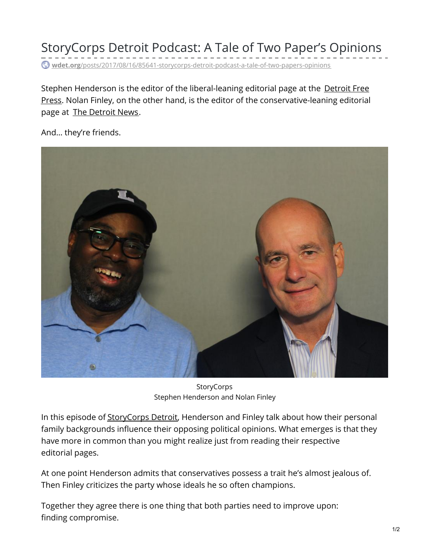StoryCorps Detroit Podcast: A Tale of Two Paper's Opinions **wdet.org**[/posts/2017/08/16/85641-storycorps-detroit-podcast-a-tale-of-two-papers-opinions](https://wdet.org/posts/2017/08/16/85641-storycorps-detroit-podcast-a-tale-of-two-papers-opinions/)

Stephen Henderson is the editor of the liberal-leaning editorial page at the Detroit Free Press. Nolan Finley, on the other hand, is the editor of the [conservative-leaning](http://www.freep.com/opinion/) editorial page at **The [Detroit](http://www.detroitnews.com/opinion/) News.** 

And… they're friends.



**StoryCorps** Stephen Henderson and Nolan Finley

In this episode of [StoryCorps](http://wdet.org/series/storycorps/) Detroit, Henderson and Finley talk about how their personal family backgrounds influence their opposing political opinions. What emerges is that they have more in common than you might realize just from reading their respective editorial pages.

At one point Henderson admits that conservatives possess a trait he's almost jealous of. Then Finley criticizes the party whose ideals he so often champions.

Together they agree there is one thing that both parties need to improve upon: finding compromise.